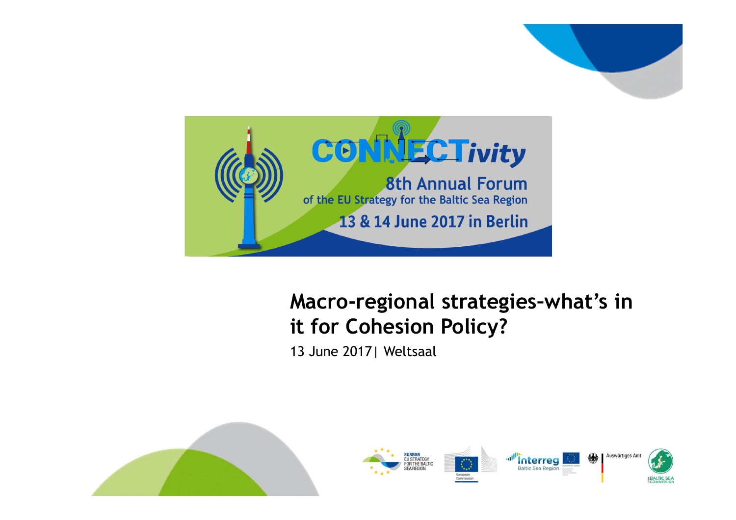

#### **Macro-regional strategies–what's in it for Cohesion Policy?**

13 June 2017| Weltsaal

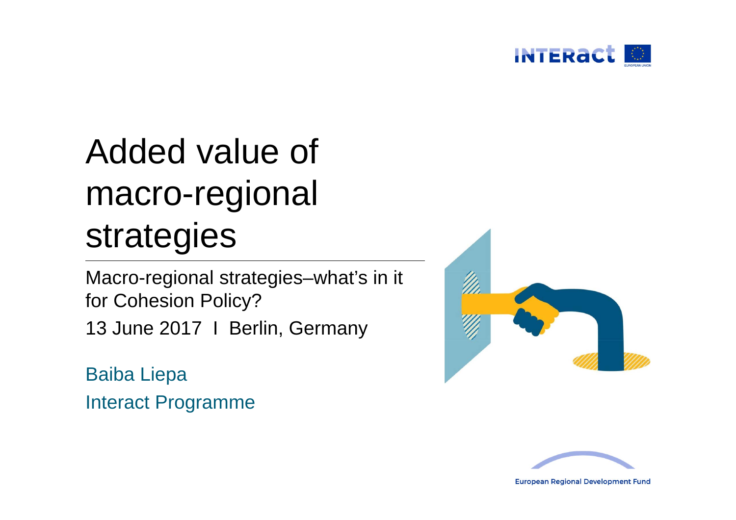

# Added value of macro-regional strategies

Macro-regional strategies–what's in it for Cohesion Policy?

13 June 2017 | Berlin, Germany

Baiba Liepa Interact Programme





**European Regional Development Fund**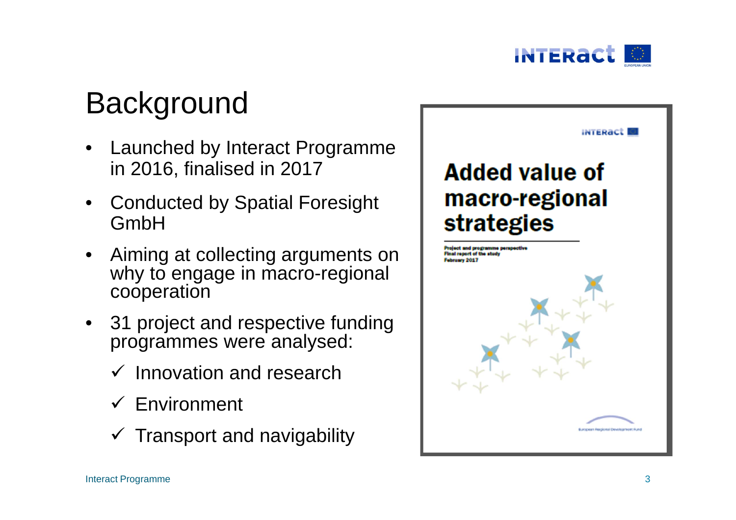

## **Background**

- • Launched by Interact Programme in 2016, finalised in 2017
- Conducted by Spatial Foresight GmbH
- • Aiming at collecting arguments on why to engage in macro-regional cooperation
- • 31 project and respective funding programmes were analysed:
	- $\checkmark$  Innovation and research
	- $\checkmark$  Environment
	- $\checkmark$  Transport and navigability

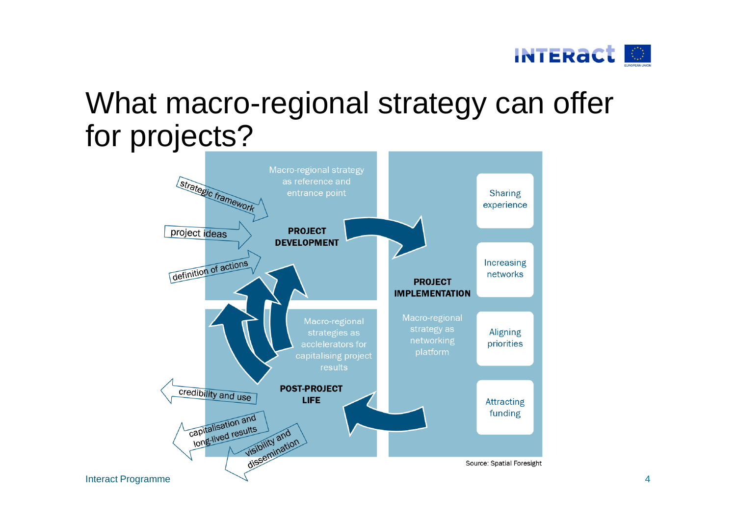

### What macro-regional strategy can offer for projects?

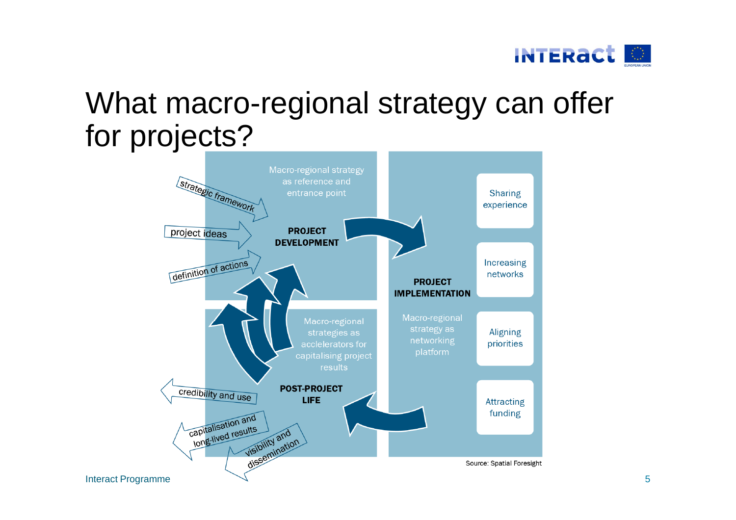

### What macro-regional strategy can offer for projects?

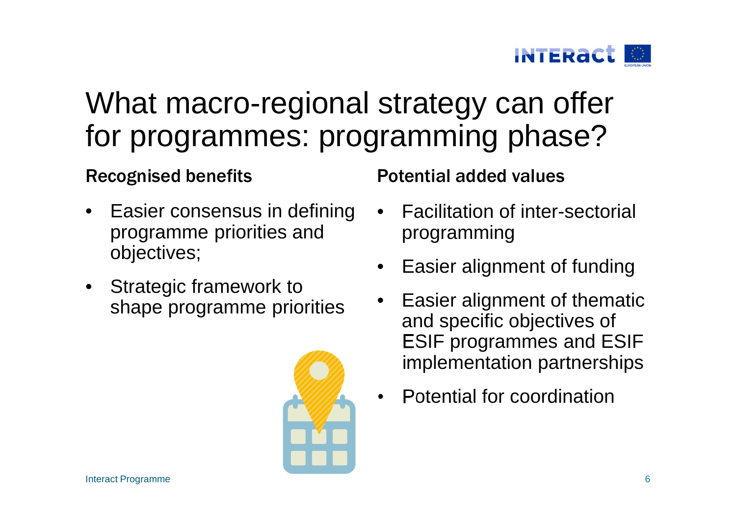

### What macro-regional strategy can offer for programmes: programming phase?

- • Easier consensus in defining programme priorities and objectives;
- Strategic framework to shape programme priorities



Recognised benefits **Potential added values** 

- • Facilitation of inter-sectorial programming
- •Easier alignment of funding
- • Easier alignment of thematic and specific objectives of ESIF programmes and ESIF implementation partnerships
- •Potential for coordination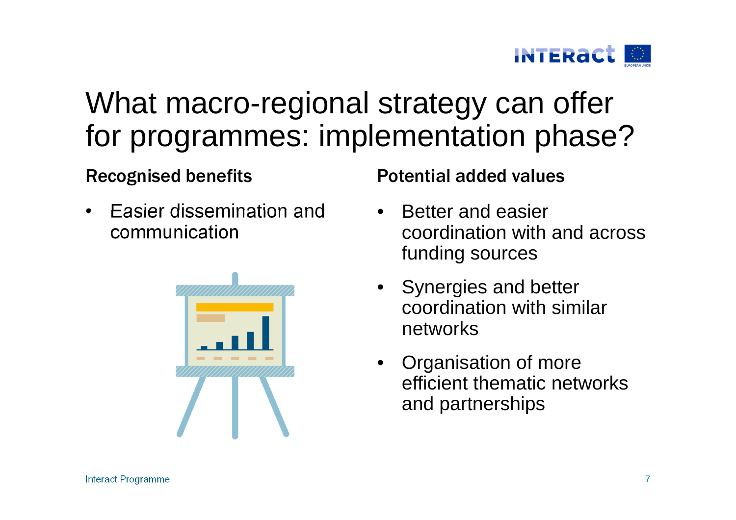

### What macro-regional strategy can offer for programmes: implementation phase?

• Easier dissemination and communication



Recognised benefits **Potential added values** 

- • Better and easier coordination with and across funding sources
- Synergies and better coordination with similar networks
- • Organisation of more efficient thematic networks and partnerships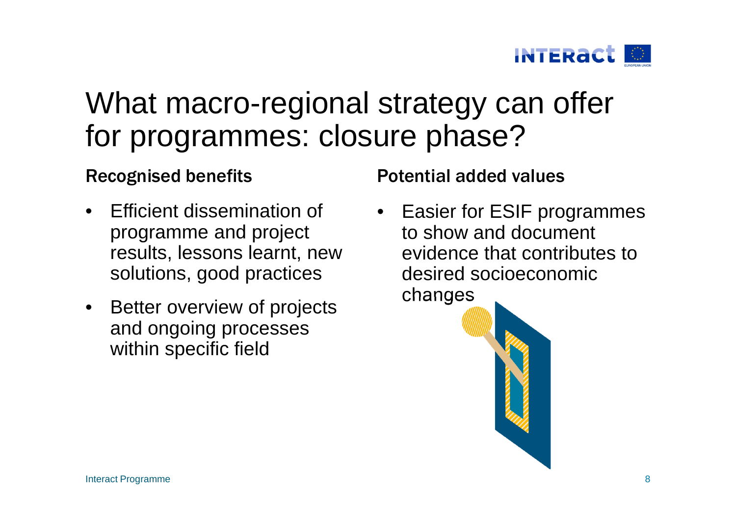

#### What macro-regional strategy can offer for programmes: closure phase?

- • Efficient dissemination of programme and project results, lessons learnt, new solutions, good practices
- Better overview of projects and ongoing processes within specific field

Recognised benefits **Potential added values** 

• Easier for ESIF programmes to show and document evidence that contributes to desired socioeconomic changes

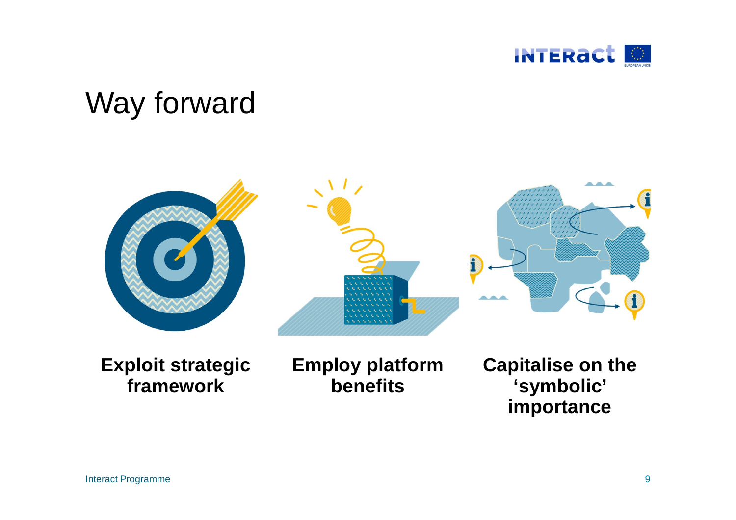

### Way forward



**Exploit strategic framework**

**Employ platform benefits**

**Capitalise on the 'symbolic' importance**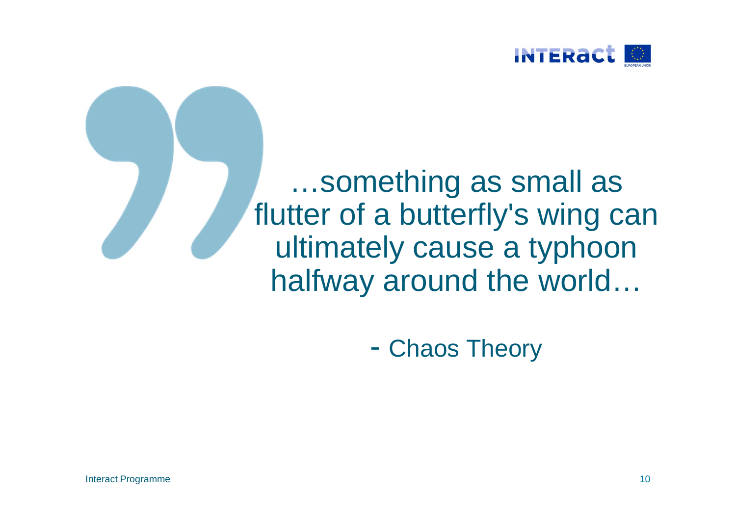



Chaos Theory